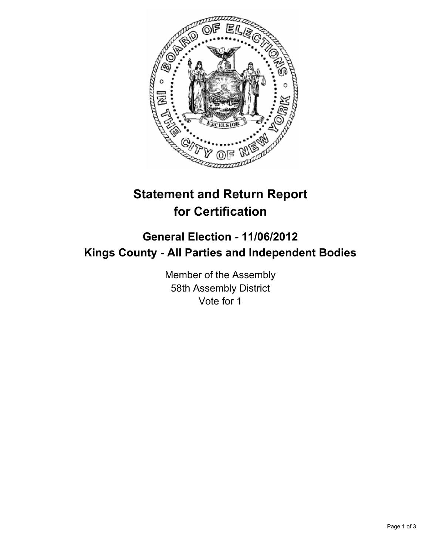

# **Statement and Return Report for Certification**

## **General Election - 11/06/2012 Kings County - All Parties and Independent Bodies**

Member of the Assembly 58th Assembly District Vote for 1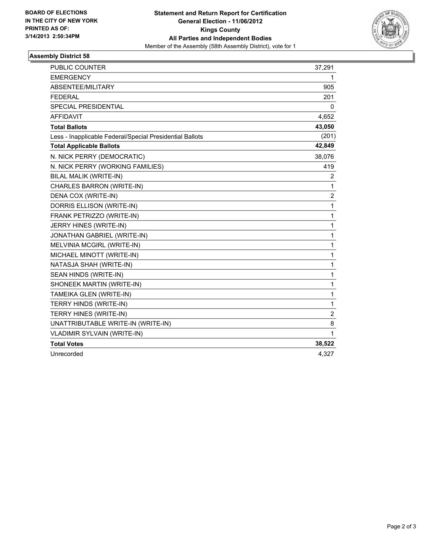

### **Assembly District 58**

| PUBLIC COUNTER                                           | 37,291         |
|----------------------------------------------------------|----------------|
| <b>EMERGENCY</b>                                         | 1              |
| ABSENTEE/MILITARY                                        | 905            |
| <b>FEDERAL</b>                                           | 201            |
| <b>SPECIAL PRESIDENTIAL</b>                              | 0              |
| <b>AFFIDAVIT</b>                                         | 4,652          |
| <b>Total Ballots</b>                                     | 43,050         |
| Less - Inapplicable Federal/Special Presidential Ballots | (201)          |
| <b>Total Applicable Ballots</b>                          | 42,849         |
| N. NICK PERRY (DEMOCRATIC)                               | 38,076         |
| N. NICK PERRY (WORKING FAMILIES)                         | 419            |
| BILAL MALIK (WRITE-IN)                                   | 2              |
| CHARLES BARRON (WRITE-IN)                                | 1              |
| DENA COX (WRITE-IN)                                      | $\overline{2}$ |
| DORRIS ELLISON (WRITE-IN)                                | 1              |
| FRANK PETRIZZO (WRITE-IN)                                | 1              |
| JERRY HINES (WRITE-IN)                                   | 1              |
| JONATHAN GABRIEL (WRITE-IN)                              | 1              |
| MELVINIA MCGIRL (WRITE-IN)                               | 1              |
| MICHAEL MINOTT (WRITE-IN)                                | 1              |
| NATASJA SHAH (WRITE-IN)                                  | 1              |
| SEAN HINDS (WRITE-IN)                                    | 1              |
| SHONEEK MARTIN (WRITE-IN)                                | 1              |
| TAMEIKA GLEN (WRITE-IN)                                  | 1              |
| TERRY HINDS (WRITE-IN)                                   | 1              |
| TERRY HINES (WRITE-IN)                                   | $\overline{2}$ |
| UNATTRIBUTABLE WRITE-IN (WRITE-IN)                       | 8              |
| VLADIMIR SYLVAIN (WRITE-IN)                              | 1              |
| <b>Total Votes</b>                                       | 38,522         |
| Unrecorded                                               | 4,327          |